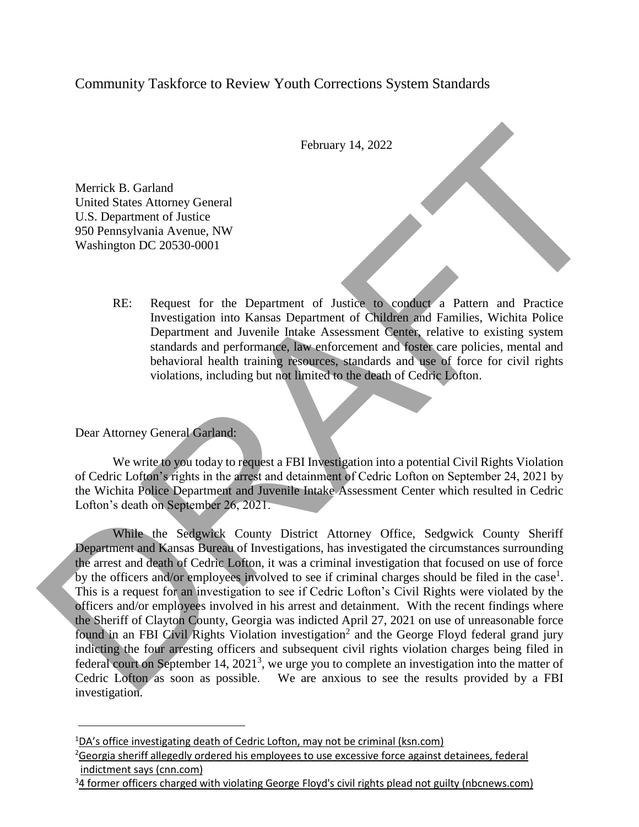## Community Taskforce to Review Youth Corrections System Standards

February 14, 2022

RE: Request for the Department of Justice to conduct a Pattern and Practice Investigation into Kansas Department of Children and Families, Wichita Police Department and Juvenile Intake Assessment Center, relative to existing system standards and performance, law enforcement and foster care policies, mental and behavioral health training resources, standards and use of force for civil rights violations, including but not limited to the death of Cedric Lofton.

## Dear Attorney General Garland:

Merrick B. Garland

United States Attorney General U.S. Department of Justice 950 Pennsylvania Avenue, NW Washington DC 20530-0001

We write to you today to request a FBI Investigation into a potential Civil Rights Violation of Cedric Lofton's rights in the arrest and detainment of Cedric Lofton on September 24, 2021 by the Wichita Police Department and Juvenile Intake Assessment Center which resulted in Cedric Lofton's death on September 26, 2021.

While the Sedgwick County District Attorney Office, Sedgwick County Sheriff Department and Kansas Bureau of Investigations, has investigated the circumstances surrounding the arrest and death of Cedric Lofton, it was a criminal investigation that focused on use of force by the officers and/or employees involved to see if criminal charges should be filed in the case<sup>1</sup>. This is a request for an investigation to see if Cedric Lofton's Civil Rights were violated by the officers and/or employees involved in his arrest and detainment. With the recent findings where the Sheriff of Clayton County, Georgia was indicted April 27, 2021 on use of unreasonable force found in an FBI Civil Rights Violation investigation<sup>2</sup> and the George Floyd federal grand jury indicting the four arresting officers and subsequent civil rights violation charges being filed in federal court on September 14, 2021<sup>3</sup>, we urge you to complete an investigation into the matter of Cedric Lofton as soon as possible. We are anxious to see the results provided by a FBI investigation. February 14, 2022<br>
Merrick R. Garland<br>
U.S. Department of Lustice to complete the election of platear and produce<br>
U.S. Department of Lustice to complete and Practice<br>
The Persistential of the Department of Justice to comp

<sup>&</sup>lt;sup>1</sup>DA's office investigating death of Cedric Lofton, may not be criminal (ksn.com)

 $26$ eorgia sheriff allegedly ordered his employees to use excessive force against detainees, federal indictment says (cnn.com)

 $34$  former officers charged with violating George Floyd's civil rights plead not guilty (nbcnews.com)